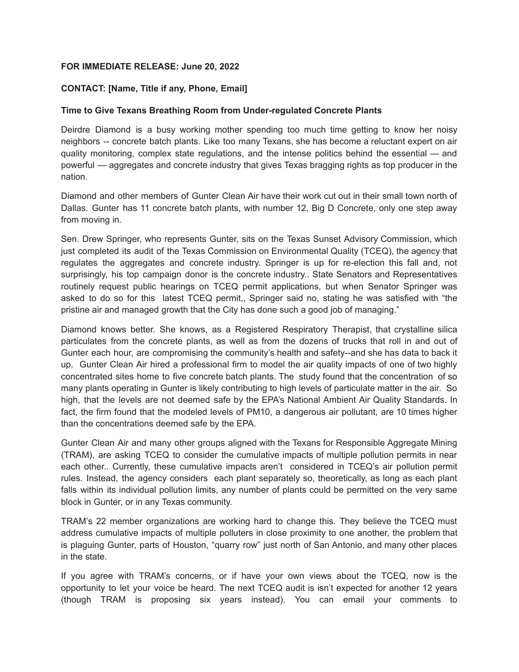### **FOR IMMEDIATE RELEASE: June 20, 2022**

# **CONTACT: [Name, Title if any, Phone, Email]**

## **Time to Give Texans Breathing Room from Under-regulated Concrete Plants**

Deirdre Diamond is a busy working mother spending too much time getting to know her noisy neighbors -- concrete batch plants. Like too many Texans, she has become a reluctant expert on air quality monitoring, complex state regulations, and the intense politics behind the essential — and powerful — aggregates and concrete industry that gives Texas bragging rights as top producer in the nation.

Diamond and other members of Gunter Clean Air have their work cut out in their small town north of Dallas. Gunter has 11 concrete batch plants, with number 12, Big D Concrete, only one step away from moving in.

Sen. Drew Springer, who represents Gunter, sits on the Texas Sunset Advisory Commission, which just completed its audit of the Texas Commission on Environmental Quality (TCEQ), the agency that regulates the aggregates and concrete industry. Springer is up for re-election this fall and, not surprisingly, his top campaign donor is the concrete industry.. State Senators and Representatives routinely request public hearings on TCEQ permit applications, but when Senator Springer was asked to do so for this latest TCEQ permit,, Springer said no, stating he was satisfied with "the pristine air and managed growth that the City has done such a good job of managing."

Diamond knows better. She knows, as a Registered Respiratory Therapist, that crystalline silica particulates from the concrete plants, as well as from the dozens of trucks that roll in and out of Gunter each hour, are compromising the community's health and safety--and she has data to back it up. Gunter Clean Air hired a professional firm to model the air quality impacts of one of two highly concentrated sites home to five concrete batch plants. The study found that the concentration of so many plants operating in Gunter is likely contributing to high levels of particulate matter in the air. So high, that the levels are not deemed safe by the EPA's National Ambient Air Quality Standards. In fact, the firm found that the modeled levels of PM10, a dangerous air pollutant, are 10 times higher than the concentrations deemed safe by the EPA.

Gunter Clean Air and many other groups aligned with the Texans for Responsible Aggregate Mining (TRAM), are asking TCEQ to consider the cumulative impacts of multiple pollution permits in near each other.. Currently, these cumulative impacts aren't considered in TCEQ's air pollution permit rules. Instead, the agency considers each plant separately so, theoretically, as long as each plant falls within its individual pollution limits, any number of plants could be permitted on the very same block in Gunter, or in any Texas community.

TRAM's 22 member organizations are working hard to change this. They believe the TCEQ must address cumulative impacts of multiple polluters in close proximity to one another, the problem that is plaguing Gunter, parts of Houston, "quarry row" just north of San Antonio, and many other places in the state.

If you agree with TRAM's concerns, or if have your own views about the TCEQ, now is the opportunity to let your voice be heard. The next TCEQ audit is isn't expected for another 12 years (though TRAM is proposing six years instead). You can email your comments to